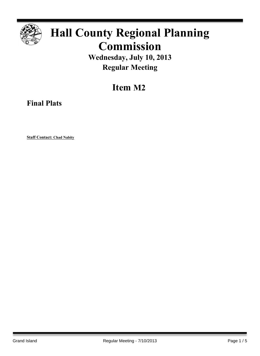

## **Hall County Regional Planning Commission**

**Wednesday, July 10, 2013 Regular Meeting**

**Item M2**

**Final Plats**

**Staff Contact: Chad Nabity**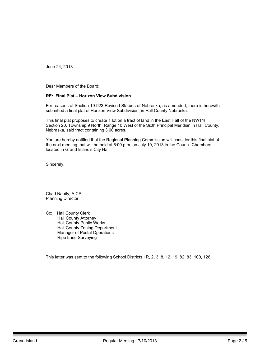June 24, 2013

Dear Members of the Board:

## **RE: Final Plat – Horizon View Subdivision**

For reasons of Section 19-923 Revised Statues of Nebraska, as amended, there is herewith submitted a final plat of Horizon View Subdivision, in Hall County Nebraska.

This final plat proposes to create 1 lot on a tract of land in the East Half of the NW1/4 Section 20, Township 9 North, Range 10 West of the Sixth Principal Meridian in Hall County, Nebraska, said tract containing 3.00 acres.

You are hereby notified that the Regional Planning Commission will consider this final plat at the next meeting that will be held at 6:00 p.m. on July 10, 2013 in the Council Chambers located in Grand Island's City Hall.

Sincerely,

Chad Nabity, AICP Planning Director

Cc: Hall County Clerk Hall County Attorney Hall County Public Works Hall County Zoning Department Manager of Postal Operations Ripp Land Surveying

This letter was sent to the following School Districts 1R, 2, 3, 8, 12, 19, 82, 83, 100, 126.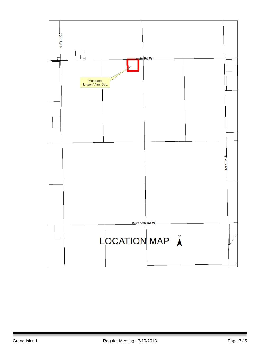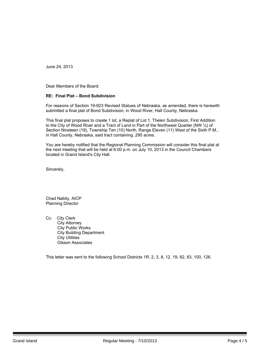June 24, 2013

Dear Members of the Board:

## **RE: Final Plat – Bond Subdivision**

For reasons of Section 19-923 Revised Statues of Nebraska, as amended, there is herewith submitted a final plat of Bond Subdivision, in Wood River, Hall County, Nebraska.

This final plat proposes to create 1 lot, a Replat of Lot 1, Thelen Subdivision, First Addition to the City of Wood River and a Tract of Land in Part of the Northwest Quarter (NW ¼) of Section Nineteen (19), Township Ten (10) North, Range Eleven (11) West of the Sixth P.M., in Hall County, Nebraska, said tract containing .295 acres.

You are hereby notified that the Regional Planning Commission will consider this final plat at the next meeting that will be held at 6:00 p.m. on July 10, 2013 in the Council Chambers located in Grand Island's City Hall.

Sincerely,

Chad Nabity, AICP Planning Director

Cc: City Clerk City Attorney City Public Works City Building Department City Utilities Olsson Associates

This letter was sent to the following School Districts 1R, 2, 3, 8, 12, 19, 82, 83, 100, 126.